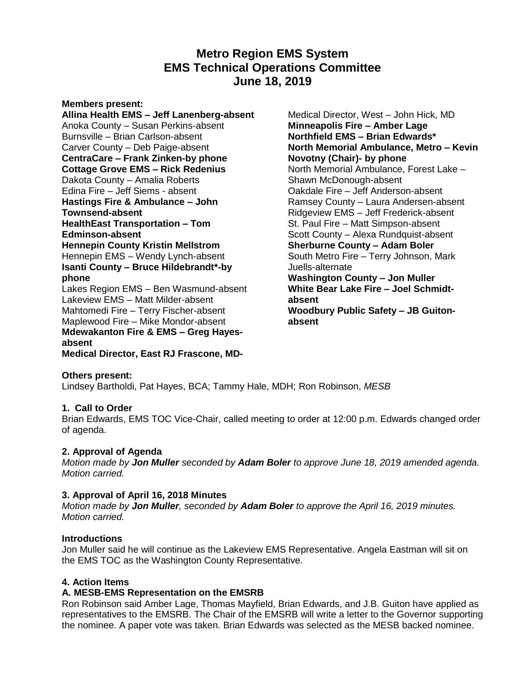# **Metro Region EMS System EMS Technical Operations Committee June 18, 2019**

**Members present: Allina Health EMS – Jeff Lanenberg-absent** Anoka County – Susan Perkins-absent Burnsville – Brian Carlson-absent Carver County – Deb Paige-absent **CentraCare – Frank Zinken-by phone Cottage Grove EMS – Rick Redenius** Dakota County – Amalia Roberts Edina Fire – Jeff Siems - absent **Hastings Fire & Ambulance – John Townsend-absent HealthEast Transportation – Tom Edminson-absent Hennepin County Kristin Mellstrom** Hennepin EMS – Wendy Lynch-absent **Isanti County – Bruce Hildebrandt\*-by phone** Lakes Region EMS – Ben Wasmund-absent Lakeview EMS – Matt Milder-absent Mahtomedi Fire – Terry Fischer-absent Maplewood Fire – Mike Mondor-absent **Mdewakanton Fire & EMS – Greg Hayesabsent Medical Director, East RJ Frascone, MD-**

Medical Director, West – John Hick, MD **Minneapolis Fire – Amber Lage Northfield EMS – Brian Edwards\* North Memorial Ambulance, Metro – Kevin Novotny (Chair)- by phone** North Memorial Ambulance, Forest Lake – Shawn McDonough-absent Oakdale Fire – Jeff Anderson-absent Ramsey County – Laura Andersen-absent Ridgeview EMS – Jeff Frederick-absent St. Paul Fire – Matt Simpson-absent Scott County – Alexa Rundquist-absent **Sherburne County – Adam Boler** South Metro Fire – Terry Johnson, Mark Juells-alternate **Washington County – Jon Muller White Bear Lake Fire – Joel Schmidtabsent Woodbury Public Safety – JB Guitonabsent**

# **Others present:**

Lindsey Bartholdi, Pat Hayes, BCA; Tammy Hale, MDH; Ron Robinson, *MESB*

### **1. Call to Order**

Brian Edwards, EMS TOC Vice-Chair, called meeting to order at 12:00 p.m. Edwards changed order of agenda.

### **2. Approval of Agenda**

*Motion made by Jon Muller seconded by Adam Boler to approve June 18, 2019 amended agenda. Motion carried.*

### **3. Approval of April 16, 2018 Minutes**

*Motion made by Jon Muller, seconded by Adam Boler to approve the April 16, 2019 minutes. Motion carried.*

### **Introductions**

Jon Muller said he will continue as the Lakeview EMS Representative. Angela Eastman will sit on the EMS TOC as the Washington County Representative.

# **4. Action Items**

### **A. MESB-EMS Representation on the EMSRB**

Ron Robinson said Amber Lage, Thomas Mayfield, Brian Edwards, and J.B. Guiton have applied as representatives to the EMSRB. The Chair of the EMSRB will write a letter to the Governor supporting the nominee. A paper vote was taken. Brian Edwards was selected as the MESB backed nominee.